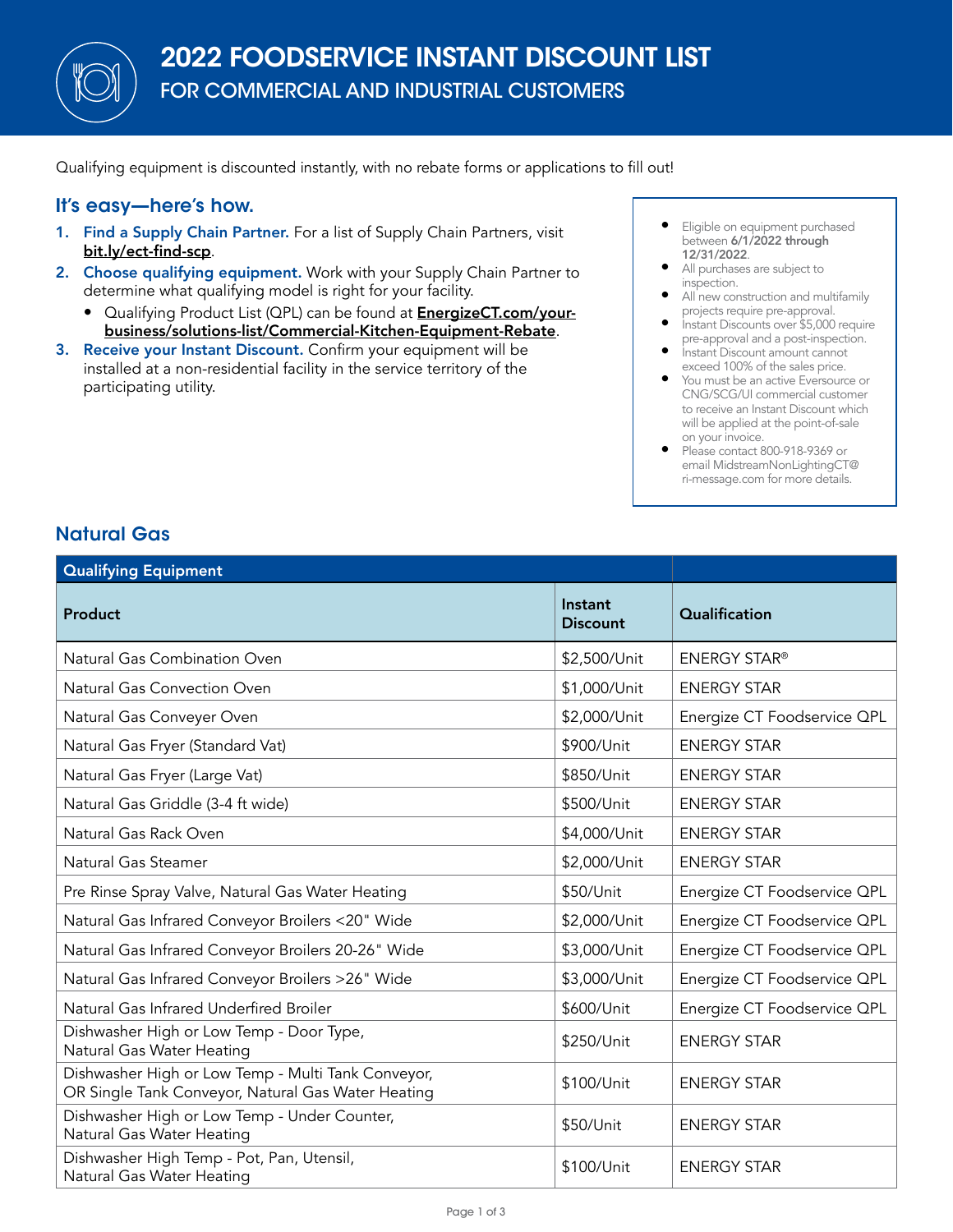

Qualifying equipment is discounted instantly, with no rebate forms or applications to fill out!

## It's easy—here's how.

- 1. Find a Supply Chain Partner. For a list of Supply Chain Partners, visit [bit.ly/ect-find-scp](http://bit.ly/ect-find-scp).
- 2. Choose qualifying equipment. Work with your Supply Chain Partner to determine what qualifying model is right for your facility.
	- Qualifying Product List (QPL) can be found at [EnergizeCT.com/your](https://www.energizect.com/your-business/solutions-list/Commercial-Kitchen-Equipment-Rebate)[business/solutions-list/Commercial-Kitchen-Equipment-Rebate](https://www.energizect.com/your-business/solutions-list/Commercial-Kitchen-Equipment-Rebate).
- 3. Receive your Instant Discount. Confirm your equipment will be installed at a non-residential facility in the service territory of the participating utility.
- Eligible on equipment purchased between 6/1/2022 through 12/31/2022.
- All purchases are subject to inspection.
- All new construction and multifamily projects require pre-approval.
- **•** Instant Discounts over \$5,000 require pre-approval and a post-inspection.
- Instant Discount amount cannot exceed 100% of the sales price.
- You must be an active Eversource or CNG/SCG/UI commercial customer to receive an Instant Discount which will be applied at the point-of-sale on your invoice.
- Please contact 800-918-9369 or email [MidstreamNonLightingCT@](mailto:MidstreamNonLightingCT%40ri-message.com?subject=) [ri-message.com](mailto:MidstreamNonLightingCT%40ri-message.com?subject=) for more details.

## Natural Gas

| <b>Qualifying Equipment</b>                                                                              |                            |                             |
|----------------------------------------------------------------------------------------------------------|----------------------------|-----------------------------|
| Product                                                                                                  | Instant<br><b>Discount</b> | Qualification               |
| Natural Gas Combination Oven                                                                             | \$2,500/Unit               | <b>ENERGY STAR®</b>         |
| Natural Gas Convection Oven                                                                              | \$1,000/Unit               | <b>ENERGY STAR</b>          |
| Natural Gas Conveyer Oven                                                                                | \$2,000/Unit               | Energize CT Foodservice QPL |
| Natural Gas Fryer (Standard Vat)                                                                         | \$900/Unit                 | <b>ENERGY STAR</b>          |
| Natural Gas Fryer (Large Vat)                                                                            | \$850/Unit                 | <b>ENERGY STAR</b>          |
| Natural Gas Griddle (3-4 ft wide)                                                                        | \$500/Unit                 | <b>ENERGY STAR</b>          |
| Natural Gas Rack Oven                                                                                    | \$4,000/Unit               | <b>ENERGY STAR</b>          |
| Natural Gas Steamer                                                                                      | \$2,000/Unit               | <b>ENERGY STAR</b>          |
| Pre Rinse Spray Valve, Natural Gas Water Heating                                                         | \$50/Unit                  | Energize CT Foodservice QPL |
| Natural Gas Infrared Conveyor Broilers <20" Wide                                                         | \$2,000/Unit               | Energize CT Foodservice QPL |
| Natural Gas Infrared Conveyor Broilers 20-26" Wide                                                       | \$3,000/Unit               | Energize CT Foodservice QPL |
| Natural Gas Infrared Conveyor Broilers >26" Wide                                                         | \$3,000/Unit               | Energize CT Foodservice QPL |
| Natural Gas Infrared Underfired Broiler                                                                  | \$600/Unit                 | Energize CT Foodservice QPL |
| Dishwasher High or Low Temp - Door Type,<br>Natural Gas Water Heating                                    | \$250/Unit                 | <b>ENERGY STAR</b>          |
| Dishwasher High or Low Temp - Multi Tank Conveyor,<br>OR Single Tank Conveyor, Natural Gas Water Heating | \$100/Unit                 | <b>ENERGY STAR</b>          |
| Dishwasher High or Low Temp - Under Counter,<br>Natural Gas Water Heating                                | \$50/Unit                  | <b>ENERGY STAR</b>          |
| Dishwasher High Temp - Pot, Pan, Utensil,<br>Natural Gas Water Heating                                   | \$100/Unit                 | <b>ENERGY STAR</b>          |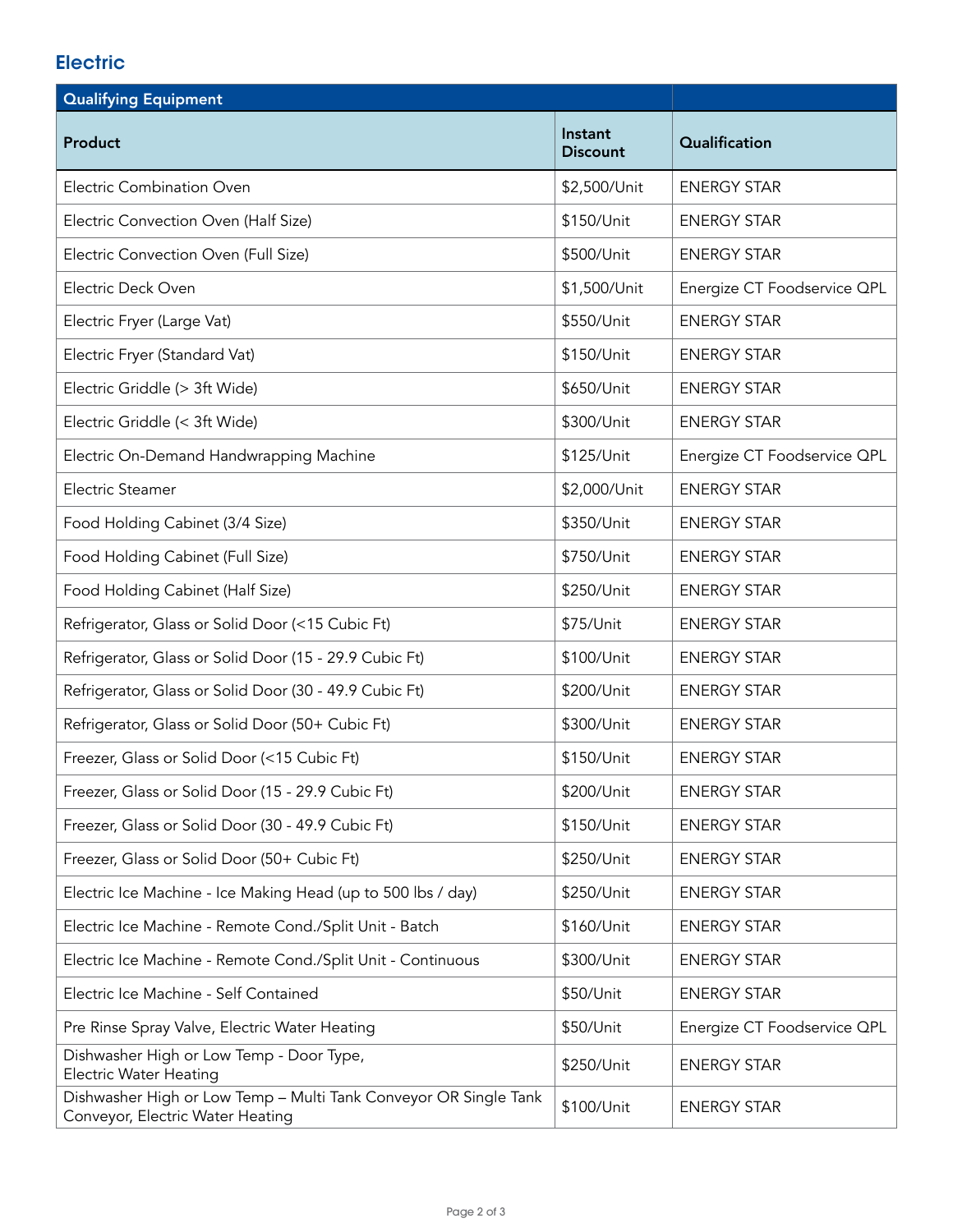## **Electric**

| <b>Qualifying Equipment</b>                                                                          |                            |                             |
|------------------------------------------------------------------------------------------------------|----------------------------|-----------------------------|
| Product                                                                                              | Instant<br><b>Discount</b> | Qualification               |
| <b>Electric Combination Oven</b>                                                                     | \$2,500/Unit               | <b>ENERGY STAR</b>          |
| Electric Convection Oven (Half Size)                                                                 | \$150/Unit                 | <b>ENERGY STAR</b>          |
| Electric Convection Oven (Full Size)                                                                 | \$500/Unit                 | <b>ENERGY STAR</b>          |
| Electric Deck Oven                                                                                   | \$1,500/Unit               | Energize CT Foodservice QPL |
| Electric Fryer (Large Vat)                                                                           | \$550/Unit                 | <b>ENERGY STAR</b>          |
| Electric Fryer (Standard Vat)                                                                        | \$150/Unit                 | <b>ENERGY STAR</b>          |
| Electric Griddle (> 3ft Wide)                                                                        | \$650/Unit                 | <b>ENERGY STAR</b>          |
| Electric Griddle (< 3ft Wide)                                                                        | \$300/Unit                 | <b>ENERGY STAR</b>          |
| Electric On-Demand Handwrapping Machine                                                              | \$125/Unit                 | Energize CT Foodservice QPL |
| Electric Steamer                                                                                     | \$2,000/Unit               | <b>ENERGY STAR</b>          |
| Food Holding Cabinet (3/4 Size)                                                                      | \$350/Unit                 | <b>ENERGY STAR</b>          |
| Food Holding Cabinet (Full Size)                                                                     | \$750/Unit                 | <b>ENERGY STAR</b>          |
| Food Holding Cabinet (Half Size)                                                                     | \$250/Unit                 | <b>ENERGY STAR</b>          |
| Refrigerator, Glass or Solid Door (<15 Cubic Ft)                                                     | \$75/Unit                  | <b>ENERGY STAR</b>          |
| Refrigerator, Glass or Solid Door (15 - 29.9 Cubic Ft)                                               | \$100/Unit                 | <b>ENERGY STAR</b>          |
| Refrigerator, Glass or Solid Door (30 - 49.9 Cubic Ft)                                               | \$200/Unit                 | <b>ENERGY STAR</b>          |
| Refrigerator, Glass or Solid Door (50+ Cubic Ft)                                                     | \$300/Unit                 | <b>ENERGY STAR</b>          |
| Freezer, Glass or Solid Door (<15 Cubic Ft)                                                          | \$150/Unit                 | <b>ENERGY STAR</b>          |
| Freezer, Glass or Solid Door (15 - 29.9 Cubic Ft)                                                    | \$200/Unit                 | <b>ENERGY STAR</b>          |
| Freezer, Glass or Solid Door (30 - 49.9 Cubic Ft)                                                    | \$150/Unit                 | <b>ENERGY STAR</b>          |
| Freezer, Glass or Solid Door (50+ Cubic Ft)                                                          | \$250/Unit                 | <b>ENERGY STAR</b>          |
| Electric Ice Machine - Ice Making Head (up to 500 lbs / day)                                         | \$250/Unit                 | <b>ENERGY STAR</b>          |
| Electric Ice Machine - Remote Cond./Split Unit - Batch                                               | \$160/Unit                 | <b>ENERGY STAR</b>          |
| Electric Ice Machine - Remote Cond./Split Unit - Continuous                                          | \$300/Unit                 | <b>ENERGY STAR</b>          |
| Electric Ice Machine - Self Contained                                                                | \$50/Unit                  | <b>ENERGY STAR</b>          |
| Pre Rinse Spray Valve, Electric Water Heating                                                        | \$50/Unit                  | Energize CT Foodservice QPL |
| Dishwasher High or Low Temp - Door Type,<br><b>Electric Water Heating</b>                            | \$250/Unit                 | <b>ENERGY STAR</b>          |
| Dishwasher High or Low Temp - Multi Tank Conveyor OR Single Tank<br>Conveyor, Electric Water Heating | \$100/Unit                 | <b>ENERGY STAR</b>          |